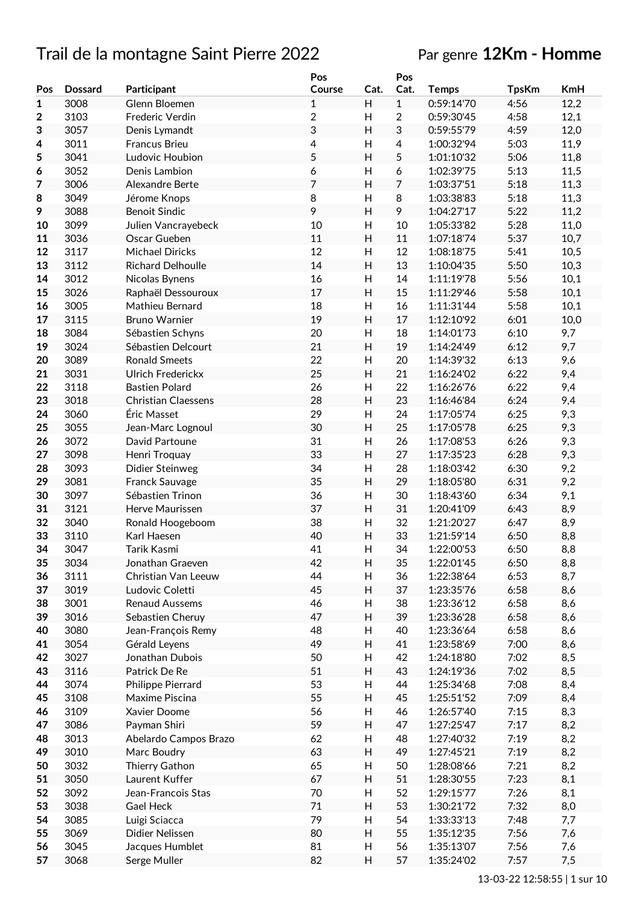# Trail de la montagne Saint Pierre 2022 Par genre **12Km - Homme**

|                         |                |                            | Pos            |                | Pos            |              |              |            |
|-------------------------|----------------|----------------------------|----------------|----------------|----------------|--------------|--------------|------------|
| Pos                     | <b>Dossard</b> | Participant                | Course         | Cat.           | Cat.           | <b>Temps</b> | <b>TpsKm</b> | <b>KmH</b> |
| $\mathbf{1}$            | 3008           | Glenn Bloemen              | $\mathbf{1}$   | H              | $\mathbf{1}$   | 0:59:14'70   | 4:56         | 12,2       |
| $\overline{\mathbf{2}}$ | 3103           | Frederic Verdin            | $\overline{c}$ | Н              | 2              | 0:59:30'45   | 4:58         | 12,1       |
| 3                       | 3057           | Denis Lymandt              | 3              | H              | 3              | 0:59:55'79   | 4:59         | 12,0       |
| 4                       | 3011           | <b>Francus Brieu</b>       | 4              | H              | $\overline{4}$ | 1:00:32'94   | 5:03         | 11,9       |
| 5                       | 3041           | Ludovic Houbion            | 5              | H              | 5              | 1:01:10'32   | 5:06         | 11,8       |
|                         | 3052           |                            |                | H              |                | 1:02:39'75   | 5:13         |            |
| 6                       |                | Denis Lambion              | 6<br>7         |                | 6              |              |              | 11,5       |
| 7                       | 3006           | Alexandre Berte            |                | H              | 7              | 1:03:37'51   | 5:18         | 11,3       |
| 8                       | 3049           | Jérome Knops               | 8              | H              | 8              | 1:03:38'83   | 5:18         | 11,3       |
| 9                       | 3088           | <b>Benoit Sindic</b>       | 9              | H              | 9              | 1:04:27'17   | 5:22         | 11,2       |
| 10                      | 3099           | Julien Vancrayebeck        | 10             | $\mathsf{H}$   | 10             | 1:05:33'82   | 5:28         | 11,0       |
| 11                      | 3036           | Oscar Gueben               | 11             | H              | 11             | 1:07:18'74   | 5:37         | 10,7       |
| 12                      | 3117           | <b>Michael Diricks</b>     | 12             | H              | 12             | 1:08:18'75   | 5:41         | 10,5       |
| 13                      | 3112           | Richard Delhoulle          | 14             | H              | 13             | 1:10:04'35   | 5:50         | 10,3       |
| 14                      | 3012           | Nicolas Bynens             | 16             | Н              | 14             | 1:11:19'78   | 5:56         | 10,1       |
| 15                      | 3026           | Raphaël Dessouroux         | 17             | H              | 15             | 1:11:29'46   | 5:58         | 10,1       |
| 16                      | 3005           | Mathieu Bernard            | 18             | $\overline{H}$ | 16             | 1:11:31'44   | 5:58         | 10,1       |
| 17                      | 3115           | <b>Bruno Warnier</b>       | 19             | H              | 17             | 1:12:10'92   | 6:01         | 10,0       |
| 18                      | 3084           | Sébastien Schyns           | 20             | H              | 18             | 1:14:01'73   | 6:10         | 9,7        |
|                         | 3024           | Sébastien Delcourt         | 21             | H              | 19             | 1:14:24'49   | 6:12         |            |
| 19                      |                |                            |                |                |                |              |              | 9,7        |
| 20                      | 3089           | <b>Ronald Smeets</b>       | 22             | $\overline{H}$ | 20             | 1:14:39'32   | 6:13         | 9,6        |
| 21                      | 3031           | <b>Ulrich Frederickx</b>   | 25             | H              | 21             | 1:16:24'02   | 6:22         | 9,4        |
| 22                      | 3118           | <b>Bastien Polard</b>      | 26             | H              | 22             | 1:16:26'76   | 6:22         | 9,4        |
| 23                      | 3018           | <b>Christian Claessens</b> | 28             | H              | 23             | 1:16:46'84   | 6:24         | 9,4        |
| 24                      | 3060           | Éric Masset                | 29             | H              | 24             | 1:17:05'74   | 6:25         | 9,3        |
| 25                      | 3055           | Jean-Marc Lognoul          | 30             | H              | 25             | 1:17:05'78   | 6:25         | 9,3        |
| 26                      | 3072           | David Partoune             | 31             | H              | 26             | 1:17:08'53   | 6:26         | 9,3        |
| 27                      | 3098           | Henri Troquay              | 33             | H              | 27             | 1:17:35'23   | 6:28         | 9,3        |
| 28                      | 3093           | Didier Steinweg            | 34             | $\mathsf{H}$   | 28             | 1:18:03'42   | 6:30         | 9,2        |
| 29                      | 3081           | Franck Sauvage             | 35             | H              | 29             | 1:18:05'80   | 6:31         | 9,2        |
| 30                      | 3097           | Sébastien Trinon           | 36             | H              | 30             | 1:18:43'60   | 6:34         | 9,1        |
| 31                      | 3121           | Herve Maurissen            | 37             | H              | 31             | 1:20:41'09   | 6:43         | 8,9        |
|                         |                |                            | 38             |                |                | 1:21:20'27   |              |            |
| 32                      | 3040           | Ronald Hoogeboom           |                | $\mathsf{H}$   | 32             |              | 6:47         | 8,9        |
| 33                      | 3110           | Karl Haesen                | 40             | H              | 33             | 1:21:59'14   | 6:50         | 8,8        |
| 34                      | 3047           | Tarik Kasmi                | 41             | H              | 34             | 1:22:00'53   | 6:50         | 8,8        |
| 35                      | 3034           | Jonathan Graeven           | 42             | Н              | 35             | 1:22:01'45   | 6:50         | 8,8        |
| 36                      | 3111           | Christian Van Leeuw        | 44             | Н              | 36             | 1:22:38'64   | 6:53         | 8,7        |
| 37                      | 3019           | Ludovic Coletti            | 45             | H              | 37             | 1:23:35'76   | 6:58         | 8,6        |
| 38                      | 3001           | <b>Renaud Aussems</b>      | 46             | Н              | 38             | 1:23:36'12   | 6:58         | 8,6        |
| 39                      | 3016           | Sebastien Cheruy           | 47             | Н              | 39             | 1:23:36'28   | 6:58         | 8,6        |
| 40                      | 3080           | Jean-François Remy         | 48             | H              | 40             | 1:23:36'64   | 6:58         | 8,6        |
| 41                      | 3054           | Gérald Leyens              | 49             | Н              | 41             | 1:23:58'69   | 7:00         | 8,6        |
| 42                      | 3027           | Jonathan Dubois            | 50             | Н              | 42             | 1:24:18'80   | 7:02         | 8,5        |
| 43                      | 3116           | Patrick De Re              | 51             | H              | 43             | 1:24:19'36   | 7:02         | 8,5        |
| 44                      | 3074           | Philippe Pierrard          | 53             | Н              | 44             | 1:25:34'68   | 7:08         | 8,4        |
| 45                      | 3108           | Maxime Piscina             | 55             | H              | 45             | 1:25:51'52   | 7:09         | 8,4        |
|                         |                |                            |                |                |                |              |              |            |
| 46                      | 3109           | Xavier Doome               | 56             | Н              | 46             | 1:26:57'40   | 7:15         | 8,3        |
| 47                      | 3086           | Payman Shiri               | 59             | H              | 47             | 1:27:25'47   | 7:17         | 8,2        |
| 48                      | 3013           | Abelardo Campos Brazo      | 62             | H              | 48             | 1:27:40'32   | 7:19         | 8,2        |
| 49                      | 3010           | Marc Boudry                | 63             | H              | 49             | 1:27:45'21   | 7:19         | 8,2        |
| 50                      | 3032           | Thierry Gathon             | 65             | Н              | 50             | 1:28:08'66   | 7:21         | 8,2        |
| 51                      | 3050           | Laurent Kuffer             | 67             | H              | 51             | 1:28:30'55   | 7:23         | 8,1        |
| 52                      | 3092           | Jean-Francois Stas         | 70             | H              | 52             | 1:29:15'77   | 7:26         | 8,1        |
| 53                      | 3038           | Gael Heck                  | 71             | H              | 53             | 1:30:21'72   | 7:32         | 8,0        |
| 54                      | 3085           | Luigi Sciacca              | 79             | H              | 54             | 1:33:33'13   | 7:48         | 7,7        |
| 55                      | 3069           | Didier Nelissen            | 80             | H              | 55             | 1:35:12'35   | 7:56         | 7,6        |
| 56                      | 3045           | Jacques Humblet            | 81             | H              | 56             | 1:35:13'07   | 7:56         | 7,6        |
|                         |                |                            |                |                |                |              |              |            |
| 57                      | 3068           | Serge Muller               | 82             | H              | 57             | 1:35:24'02   | 7:57         | 7,5        |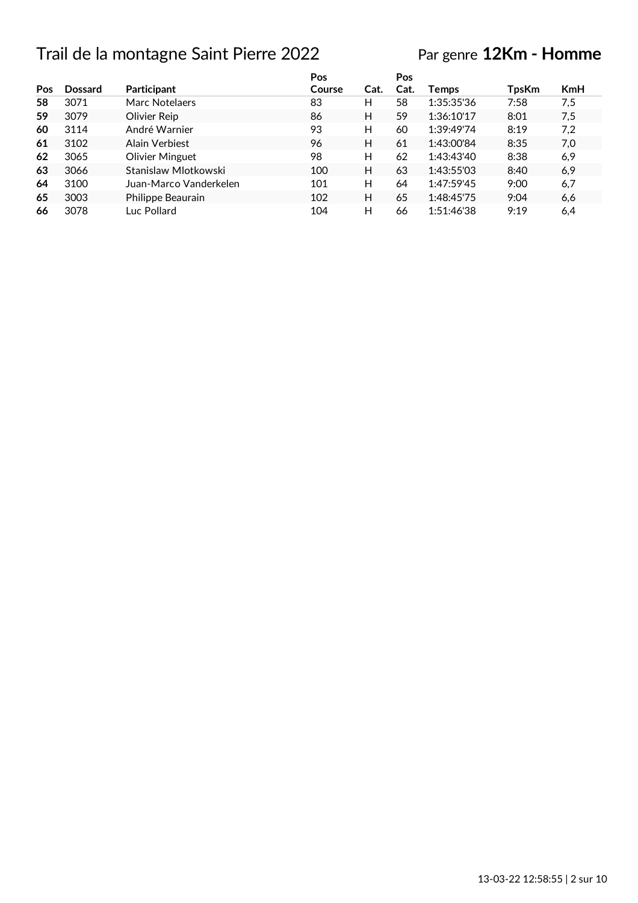# Trail de la montagne Saint Pierre 2022

# Par genre **12Km - Homme**

|     |                |                        | Pos    |      | Pos  |              |              |            |
|-----|----------------|------------------------|--------|------|------|--------------|--------------|------------|
| Pos | <b>Dossard</b> | Participant            | Course | Cat. | Cat. | <b>Temps</b> | <b>TpsKm</b> | <b>KmH</b> |
| 58  | 3071           | Marc Notelaers         | 83     | н    | 58   | 1:35:35'36   | 7:58         | 7,5        |
| 59  | 3079           | Olivier Reip           | 86     | н    | 59   | 1:36:10'17   | 8:01         | 7,5        |
| 60  | 3114           | André Warnier          | 93     | н    | 60   | 1:39:49'74   | 8:19         | 7,2        |
| 61  | 3102           | Alain Verbiest         | 96     | н    | 61   | 1:43:00'84   | 8:35         | 7,0        |
| 62  | 3065           | Olivier Minguet        | 98     | н    | 62   | 1:43:43'40   | 8:38         | 6,9        |
| 63  | 3066           | Stanislaw Mlotkowski   | 100    | н    | 63   | 1:43:55'03   | 8:40         | 6,9        |
| 64  | 3100           | Juan-Marco Vanderkelen | 101    | н    | 64   | 1:47:59'45   | 9:00         | 6,7        |
| 65  | 3003           | Philippe Beaurain      | 102    | н    | 65   | 1:48:45'75   | 9:04         | 6,6        |
| 66  | 3078           | Luc Pollard            | 104    | н    | 66   | 1:51:46'38   | 9:19         | 6,4        |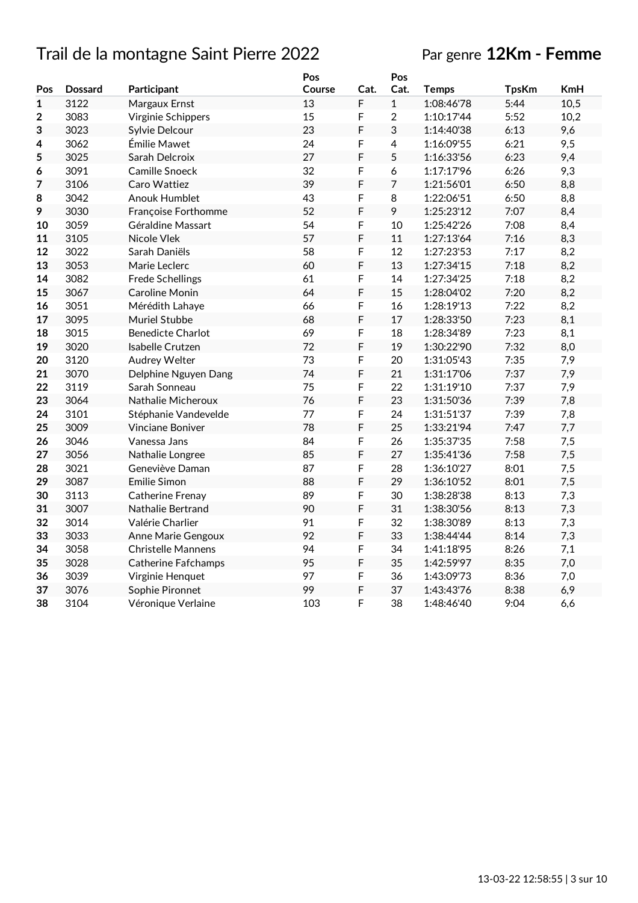# Trail de la montagne Saint Pierre 2022 Par genre **12Km - Femme**

|              |                |                            | Pos    |      | Pos            |              |              |            |
|--------------|----------------|----------------------------|--------|------|----------------|--------------|--------------|------------|
| Pos          | <b>Dossard</b> | Participant                | Course | Cat. | Cat.           | <b>Temps</b> | <b>TpsKm</b> | <b>KmH</b> |
| $\mathbf{1}$ | 3122           | Margaux Ernst              | 13     | F    | $\mathbf{1}$   | 1:08:46'78   | 5:44         | 10,5       |
| 2            | 3083           | Virginie Schippers         | 15     | F    | $\overline{2}$ | 1:10:17'44   | 5:52         | 10,2       |
| 3            | 3023           | Sylvie Delcour             | 23     | F    | 3              | 1:14:40'38   | 6:13         | 9,6        |
| 4            | 3062           | Émilie Mawet               | 24     | F    | 4              | 1:16:09'55   | 6:21         | 9,5        |
| 5            | 3025           | Sarah Delcroix             | 27     | F    | 5              | 1:16:33'56   | 6:23         | 9,4        |
| 6            | 3091           | Camille Snoeck             | 32     | F    | 6              | 1:17:17'96   | 6:26         | 9,3        |
| 7            | 3106           | Caro Wattiez               | 39     | F    | 7              | 1:21:56'01   | 6:50         | 8,8        |
| 8            | 3042           | <b>Anouk Humblet</b>       | 43     | F    | 8              | 1:22:06'51   | 6:50         | 8,8        |
| 9            | 3030           | Françoise Forthomme        | 52     | F    | 9              | 1:25:23'12   | 7:07         | 8,4        |
| 10           | 3059           | Géraldine Massart          | 54     | F    | 10             | 1:25:42'26   | 7:08         | 8,4        |
| 11           | 3105           | Nicole Vlek                | 57     | F    | 11             | 1:27:13'64   | 7:16         | 8,3        |
| 12           | 3022           | Sarah Daniëls              | 58     | F    | 12             | 1:27:23'53   | 7:17         | 8,2        |
| 13           | 3053           | Marie Leclerc              | 60     | F    | 13             | 1:27:34'15   | 7:18         | 8,2        |
| 14           | 3082           | <b>Frede Schellings</b>    | 61     | F    | 14             | 1:27:34'25   | 7:18         | 8,2        |
| 15           | 3067           | Caroline Monin             | 64     | F    | 15             | 1:28:04'02   | 7:20         | 8,2        |
| 16           | 3051           | Mérédith Lahaye            | 66     | F    | 16             | 1:28:19'13   | 7:22         | 8,2        |
| 17           | 3095           | Muriel Stubbe              | 68     | F    | 17             | 1:28:33'50   | 7:23         | 8,1        |
| 18           | 3015           | <b>Benedicte Charlot</b>   | 69     | F    | 18             | 1:28:34'89   | 7:23         | 8,1        |
| 19           | 3020           | Isabelle Crutzen           | 72     | F    | 19             | 1:30:22'90   | 7:32         | 8,0        |
| 20           | 3120           | Audrey Welter              | 73     | F    | 20             | 1:31:05'43   | 7:35         | 7,9        |
| 21           | 3070           | Delphine Nguyen Dang       | 74     | F    | 21             | 1:31:17'06   | 7:37         | 7,9        |
| 22           | 3119           | Sarah Sonneau              | 75     | F    | 22             | 1:31:19'10   | 7:37         | 7,9        |
| 23           | 3064           | Nathalie Micheroux         | 76     | F    | 23             | 1:31:50'36   | 7:39         | 7,8        |
| 24           | 3101           | Stéphanie Vandevelde       | 77     | F    | 24             | 1:31:51'37   | 7:39         | 7,8        |
| 25           | 3009           | Vinciane Boniver           | 78     | F    | 25             | 1:33:21'94   | 7:47         | 7,7        |
| 26           | 3046           | Vanessa Jans               | 84     | F    | 26             | 1:35:37'35   | 7:58         | 7,5        |
| 27           | 3056           | Nathalie Longree           | 85     | F    | 27             | 1:35:41'36   | 7:58         | 7,5        |
| 28           | 3021           | Geneviève Daman            | 87     | F    | 28             | 1:36:10'27   | 8:01         | 7,5        |
| 29           | 3087           | <b>Emilie Simon</b>        | 88     | F    | 29             | 1:36:10'52   | 8:01         | 7,5        |
| 30           | 3113           | Catherine Frenay           | 89     | F    | 30             | 1:38:28'38   | 8:13         | 7,3        |
| 31           | 3007           | Nathalie Bertrand          | 90     | F    | 31             | 1:38:30'56   | 8:13         | 7,3        |
| 32           | 3014           | Valérie Charlier           | 91     | F    | 32             | 1:38:30'89   | 8:13         | 7,3        |
| 33           | 3033           | <b>Anne Marie Gengoux</b>  | 92     | F    | 33             | 1:38:44'44   | 8:14         | 7,3        |
| 34           | 3058           | <b>Christelle Mannens</b>  | 94     | F    | 34             | 1:41:18'95   | 8:26         | 7,1        |
| 35           | 3028           | <b>Catherine Fafchamps</b> | 95     | F    | 35             | 1:42:59'97   | 8:35         | 7,0        |
| 36           | 3039           | Virginie Henquet           | 97     | F    | 36             | 1:43:09'73   | 8:36         | 7,0        |
| 37           | 3076           | Sophie Pironnet            | 99     | F    | 37             | 1:43:43'76   | 8:38         | 6,9        |
| 38           | 3104           | Véronique Verlaine         | 103    | F    | 38             | 1:48:46'40   | 9:04         | 6,6        |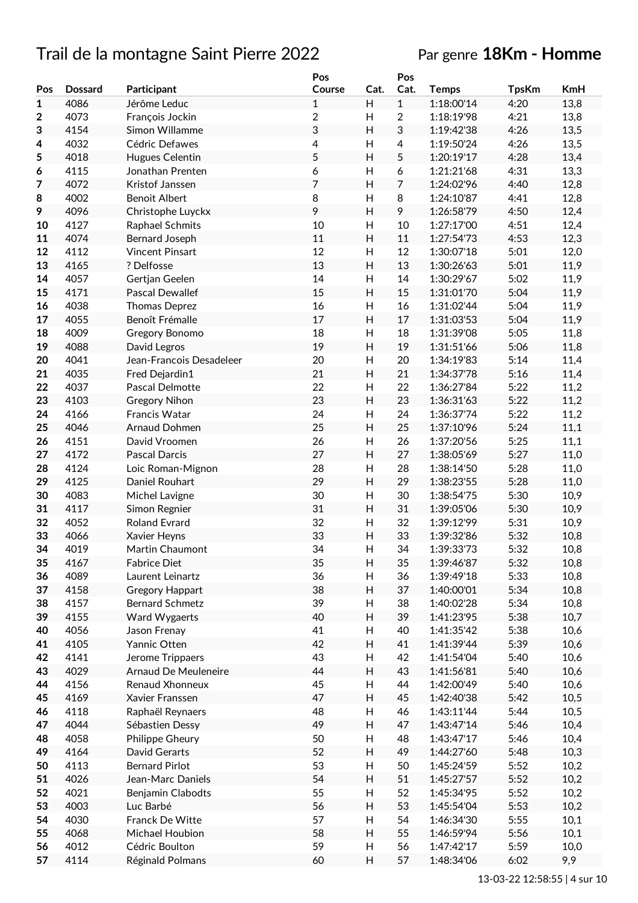# Trail de la montagne Saint Pierre 2022 Par genre **18Km - Homme**

|              |                |                          | Pos            |                           | Pos            |              |              |      |
|--------------|----------------|--------------------------|----------------|---------------------------|----------------|--------------|--------------|------|
| Pos          | <b>Dossard</b> | Participant              | Course         | Cat.                      | Cat.           | <b>Temps</b> | <b>TpsKm</b> | KmH  |
| $\mathbf{1}$ | 4086           | Jérôme Leduc             | $\mathbf{1}$   | H                         | $\mathbf{1}$   | 1:18:00'14   | 4:20         | 13,8 |
| 2            | 4073           | François Jockin          | $\overline{c}$ | H                         | $\overline{2}$ | 1:18:19'98   | 4:21         | 13,8 |
| 3            | 4154           | Simon Willamme           | 3              | H                         | 3              | 1:19:42'38   | 4:26         | 13,5 |
| 4            | 4032           | Cédric Defawes           | 4              | $\boldsymbol{\mathsf{H}}$ | 4              | 1:19:50'24   | 4:26         | 13,5 |
| 5            | 4018           | Hugues Celentin          | 5              | H                         | 5              | 1:20:19'17   | 4:28         | 13,4 |
|              |                |                          |                |                           |                |              | 4:31         |      |
| 6            | 4115           | Jonathan Prenten         | 6              | H                         | 6              | 1:21:21'68   |              | 13,3 |
| 7            | 4072           | Kristof Janssen          | $\overline{7}$ | H                         | $\overline{7}$ | 1:24:02'96   | 4:40         | 12,8 |
| 8            | 4002           | <b>Benoit Albert</b>     | 8              | $\boldsymbol{\mathsf{H}}$ | 8              | 1:24:10'87   | 4:41         | 12,8 |
| 9            | 4096           | Christophe Luyckx        | 9              | H                         | 9              | 1:26:58'79   | 4:50         | 12,4 |
| 10           | 4127           | Raphael Schmits          | 10             | H                         | $10\,$         | 1:27:17'00   | 4:51         | 12,4 |
| 11           | 4074           | Bernard Joseph           | 11             | H                         | 11             | 1:27:54'73   | 4:53         | 12,3 |
| 12           | 4112           | <b>Vincent Pinsart</b>   | 12             | H                         | 12             | 1:30:07'18   | 5:01         | 12,0 |
| 13           | 4165           | ? Delfosse               | 13             | Н                         | 13             | 1:30:26'63   | 5:01         | 11,9 |
| 14           | 4057           | Gertjan Geelen           | 14             | Н                         | 14             | 1:30:29'67   | 5:02         | 11,9 |
| 15           | 4171           | Pascal Dewallef          | 15             | $\boldsymbol{\mathsf{H}}$ | 15             | 1:31:01'70   | 5:04         | 11,9 |
| 16           | 4038           | Thomas Deprez            | 16             | H                         | 16             | 1:31:02'44   | 5:04         | 11,9 |
| 17           | 4055           | Benoît Frémalle          | 17             | H                         | 17             | 1:31:03'53   | 5:04         | 11,9 |
| 18           | 4009           | Gregory Bonomo           | 18             | $\boldsymbol{\mathsf{H}}$ | 18             | 1:31:39'08   | 5:05         | 11,8 |
|              |                |                          |                |                           |                |              |              |      |
| 19           | 4088           | David Legros             | 19             | H                         | 19             | 1:31:51'66   | 5:06         | 11,8 |
| 20           | 4041           | Jean-Francois Desadeleer | 20             | $\boldsymbol{\mathsf{H}}$ | 20             | 1:34:19'83   | 5:14         | 11,4 |
| 21           | 4035           | Fred Dejardin1           | 21             | H                         | 21             | 1:34:37'78   | 5:16         | 11,4 |
| 22           | 4037           | Pascal Delmotte          | 22             | $\boldsymbol{\mathsf{H}}$ | 22             | 1:36:27'84   | 5:22         | 11,2 |
| 23           | 4103           | <b>Gregory Nihon</b>     | 23             | H                         | 23             | 1:36:31'63   | 5:22         | 11,2 |
| 24           | 4166           | Francis Watar            | 24             | H                         | 24             | 1:36:37'74   | 5:22         | 11,2 |
| 25           | 4046           | Arnaud Dohmen            | 25             | $\boldsymbol{\mathsf{H}}$ | 25             | 1:37:10'96   | 5:24         | 11,1 |
| 26           | 4151           | David Vroomen            | 26             | H                         | 26             | 1:37:20'56   | 5:25         | 11,1 |
| 27           | 4172           | Pascal Darcis            | 27             | H                         | 27             | 1:38:05'69   | 5:27         | 11,0 |
| 28           | 4124           | Loic Roman-Mignon        | 28             | Н                         | 28             | 1:38:14'50   | 5:28         | 11,0 |
| 29           | 4125           | Daniel Rouhart           | 29             | H                         | 29             | 1:38:23'55   | 5:28         | 11,0 |
| 30           | 4083           | Michel Lavigne           | 30             | Н                         | 30             | 1:38:54'75   | 5:30         | 10,9 |
|              | 4117           |                          | 31             |                           |                | 1:39:05'06   |              |      |
| 31           |                | Simon Regnier            |                | $\boldsymbol{\mathsf{H}}$ | 31             |              | 5:30         | 10,9 |
| 32           | 4052           | <b>Roland Evrard</b>     | 32             | Н                         | 32             | 1:39:12'99   | 5:31         | 10,9 |
| 33           | 4066           | Xavier Heyns             | 33             | H                         | 33             | 1:39:32'86   | 5:32         | 10,8 |
| 34           | 4019           | Martin Chaumont          | 34             | H                         | 34             | 1:39:33'73   | 5:32         | 10,8 |
| 35           | 4167           | <b>Fabrice Diet</b>      | 35             | Н                         | 35             | 1:39:46'87   | 5:32         | 10,8 |
| 36           | 4089           | Laurent Leinartz         | 36             | Н                         | 36             | 1:39:49'18   | 5:33         | 10,8 |
| 37           | 4158           | <b>Gregory Happart</b>   | 38             | H                         | 37             | 1:40:00'01   | 5:34         | 10,8 |
| 38           | 4157           | <b>Bernard Schmetz</b>   | 39             | Н                         | 38             | 1:40:02'28   | 5:34         | 10,8 |
| 39           | 4155           | Ward Wygaerts            | 40             | Н                         | 39             | 1:41:23'95   | 5:38         | 10,7 |
| 40           | 4056           | Jason Frenay             | 41             | Н                         | 40             | 1:41:35'42   | 5:38         | 10,6 |
| 41           | 4105           | Yannic Otten             | 42             | Н                         | 41             | 1:41:39'44   | 5:39         | 10,6 |
| 42           | 4141           | Jerome Trippaers         | 43             | Н                         | 42             | 1:41:54'04   | 5:40         | 10,6 |
| 43           | 4029           | Arnaud De Meuleneire     | 44             | Н                         | 43             | 1:41:56'81   | 5:40         | 10,6 |
| 44           | 4156           | Renaud Xhonneux          | 45             | Н                         | 44             | 1:42:00'49   | 5:40         | 10,6 |
|              |                |                          |                |                           |                |              |              |      |
| 45           | 4169           | Xavier Franssen          | 47             | Н                         | 45             | 1:42:40'38   | 5:42         | 10,5 |
| 46           | 4118           | Raphaël Reynaers         | 48             | Н                         | 46             | 1:43:11'44   | 5:44         | 10,5 |
| 47           | 4044           | Sébastien Dessy          | 49             | H                         | 47             | 1:43:47'14   | 5:46         | 10,4 |
| 48           | 4058           | Philippe Gheury          | 50             | H                         | 48             | 1:43:47'17   | 5:46         | 10,4 |
| 49           | 4164           | David Gerarts            | 52             | Н                         | 49             | 1:44:27'60   | 5:48         | 10,3 |
| 50           | 4113           | <b>Bernard Pirlot</b>    | 53             | Н                         | 50             | 1:45:24'59   | 5:52         | 10,2 |
| 51           | 4026           | Jean-Marc Daniels        | 54             | Н                         | 51             | 1:45:27'57   | 5:52         | 10,2 |
| 52           | 4021           | Benjamin Clabodts        | 55             | Н                         | 52             | 1:45:34'95   | 5:52         | 10,2 |
| 53           | 4003           | Luc Barbé                | 56             | H                         | 53             | 1:45:54'04   | 5:53         | 10,2 |
| 54           | 4030           | Franck De Witte          | 57             | Н                         | 54             | 1:46:34'30   | 5:55         | 10,1 |
| 55           | 4068           | Michael Houbion          | 58             | Н                         | 55             | 1:46:59'94   | 5:56         | 10,1 |
| 56           | 4012           | Cédric Boulton           | 59             | Н                         | 56             | 1:47:42'17   | 5:59         | 10,0 |
|              |                |                          |                |                           |                |              |              |      |
| 57           | 4114           | Réginald Polmans         | 60             | Н                         | 57             | 1:48:34'06   | 6:02         | 9,9  |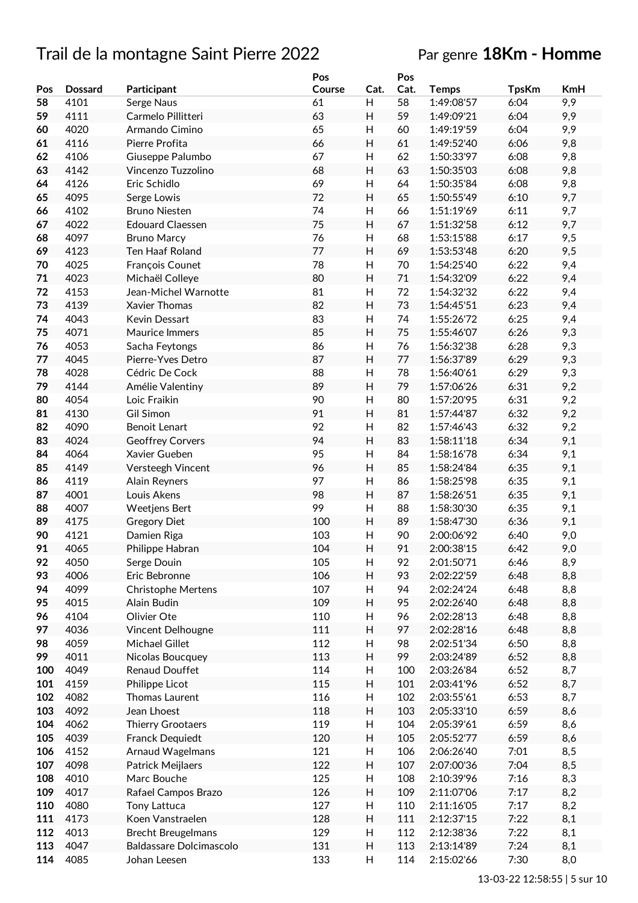# Trail de la montagne Saint Pierre 2022

# Par genre **18Km - Homme**

|     |                |                           | Pos    |                           | Pos  |              |              |            |
|-----|----------------|---------------------------|--------|---------------------------|------|--------------|--------------|------------|
| Pos | <b>Dossard</b> | Participant               | Course | Cat.                      | Cat. | <b>Temps</b> | <b>TpsKm</b> | <b>KmH</b> |
| 58  | 4101           | Serge Naus                | 61     | н                         | 58   | 1:49:08'57   | 6:04         | 9,9        |
| 59  | 4111           | Carmelo Pillitteri        | 63     | Н                         | 59   | 1:49:09'21   | 6:04         | 9,9        |
| 60  | 4020           | Armando Cimino            | 65     | Н                         | 60   | 1:49:19'59   | 6:04         | 9,9        |
|     |                | Pierre Profita            |        |                           |      |              |              |            |
| 61  | 4116           |                           | 66     | Н                         | 61   | 1:49:52'40   | 6:06         | 9,8        |
| 62  | 4106           | Giuseppe Palumbo          | 67     | Н                         | 62   | 1:50:33'97   | 6:08         | 9,8        |
| 63  | 4142           | Vincenzo Tuzzolino        | 68     | Н                         | 63   | 1:50:35'03   | 6:08         | 9,8        |
| 64  | 4126           | Eric Schidlo              | 69     | Н                         | 64   | 1:50:35'84   | 6:08         | 9,8        |
| 65  | 4095           | Serge Lowis               | 72     | H                         | 65   | 1:50:55'49   | 6:10         | 9,7        |
| 66  | 4102           | <b>Bruno Niesten</b>      | 74     | $\boldsymbol{\mathsf{H}}$ | 66   | 1:51:19'69   | 6:11         | 9,7        |
| 67  | 4022           | <b>Edouard Claessen</b>   | 75     | H                         | 67   | 1:51:32'58   | 6:12         | 9,7        |
| 68  | 4097           | <b>Bruno Marcy</b>        | 76     | Н                         | 68   | 1:53:15'88   | 6:17         | 9,5        |
| 69  | 4123           | Ten Haaf Roland           | 77     | H                         | 69   | 1:53:53'48   | 6:20         | 9,5        |
|     |                |                           |        |                           |      |              |              |            |
| 70  | 4025           | François Counet           | 78     | Н                         | 70   | 1:54:25'40   | 6:22         | 9,4        |
| 71  | 4023           | Michaël Colleye           | 80     | H                         | 71   | 1:54:32'09   | 6:22         | 9,4        |
| 72  | 4153           | Jean-Michel Warnotte      | 81     | Н                         | 72   | 1:54:32'32   | 6:22         | 9,4        |
| 73  | 4139           | Xavier Thomas             | 82     | H                         | 73   | 1:54:45'51   | 6:23         | 9,4        |
| 74  | 4043           | Kevin Dessart             | 83     | Н                         | 74   | 1:55:26'72   | 6:25         | 9,4        |
| 75  | 4071           | Maurice Immers            | 85     | H                         | 75   | 1:55:46'07   | 6:26         | 9,3        |
| 76  | 4053           | Sacha Feytongs            | 86     | $\boldsymbol{\mathsf{H}}$ | 76   | 1:56:32'38   | 6:28         | 9,3        |
| 77  | 4045           | Pierre-Yves Detro         | 87     | H                         | 77   | 1:56:37'89   | 6:29         | 9,3        |
|     |                |                           |        |                           |      |              |              |            |
| 78  | 4028           | Cédric De Cock            | 88     | $\boldsymbol{\mathsf{H}}$ | 78   | 1:56:40'61   | 6:29         | 9,3        |
| 79  | 4144           | Amélie Valentiny          | 89     | H                         | 79   | 1:57:06'26   | 6:31         | 9,2        |
| 80  | 4054           | Loic Fraikin              | 90     | H                         | 80   | 1:57:20'95   | 6:31         | 9,2        |
| 81  | 4130           | <b>Gil Simon</b>          | 91     | H                         | 81   | 1:57:44'87   | 6:32         | 9,2        |
| 82  | 4090           | Benoit Lenart             | 92     | Н                         | 82   | 1:57:46'43   | 6:32         | 9,2        |
| 83  | 4024           | <b>Geoffrey Corvers</b>   | 94     | H                         | 83   | 1:58:11'18   | 6:34         | 9,1        |
| 84  | 4064           | Xavier Gueben             | 95     | H                         | 84   | 1:58:16'78   | 6:34         | 9,1        |
| 85  | 4149           | Versteegh Vincent         | 96     | H                         | 85   | 1:58:24'84   | 6:35         | 9,1        |
| 86  | 4119           |                           | 97     | Н                         | 86   | 1:58:25'98   | 6:35         | 9,1        |
|     |                | <b>Alain Reyners</b>      |        |                           |      |              |              |            |
| 87  | 4001           | Louis Akens               | 98     | H                         | 87   | 1:58:26'51   | 6:35         | 9,1        |
| 88  | 4007           | <b>Weetjens Bert</b>      | 99     | Н                         | 88   | 1:58:30'30   | 6:35         | 9,1        |
| 89  | 4175           | <b>Gregory Diet</b>       | 100    | Н                         | 89   | 1:58:47'30   | 6:36         | 9,1        |
| 90  | 4121           | Damien Riga               | 103    | H                         | 90   | 2:00:06'92   | 6:40         | 9,0        |
| 91  | 4065           | Philippe Habran           | 104    | H                         | 91   | 2:00:38'15   | 6:42         | 9,0        |
| 92  | 4050           | Serge Douin               | 105    | Н                         | 92   | 2:01:50'71   | 6:46         | 8,9        |
| 93  | 4006           | Eric Bebronne             | 106    | H                         | 93   | 2:02:22'59   | 6:48         | 8,8        |
| 94  | 4099           | Christophe Mertens        | 107    | Н                         | 94   | 2:02:24'24   | 6:48         | 8,8        |
| 95  | 4015           | Alain Budin               | 109    | H                         | 95   | 2:02:26'40   | 6:48         | 8,8        |
|     |                | Olivier Ote               |        |                           |      |              |              |            |
| 96  | 4104           |                           | 110    | H                         | 96   | 2:02:28'13   | 6:48         | 8,8        |
| 97  | 4036           | Vincent Delhougne         | 111    | Н                         | 97   | 2:02:28'16   | 6:48         | 8,8        |
| 98  | 4059           | Michael Gillet            | 112    | H                         | 98   | 2:02:51'34   | 6:50         | 8,8        |
| 99  | 4011           | Nicolas Boucquey          | 113    | Н                         | 99   | 2:03:24'89   | 6:52         | 8,8        |
| 100 | 4049           | Renaud Douffet            | 114    | Н                         | 100  | 2:03:26'84   | 6:52         | 8,7        |
| 101 | 4159           | Philippe Licot            | 115    | Н                         | 101  | 2:03:41'96   | 6:52         | 8,7        |
| 102 | 4082           | Thomas Laurent            | 116    | Н                         | 102  | 2:03:55'61   | 6:53         | 8,7        |
| 103 | 4092           | Jean Lhoest               | 118    | Н                         | 103  | 2:05:33'10   | 6:59         | 8,6        |
| 104 | 4062           | Thierry Grootaers         | 119    | Н                         | 104  | 2:05:39'61   | 6:59         | 8,6        |
|     |                |                           |        |                           |      |              |              |            |
| 105 | 4039           | Franck Dequiedt           | 120    | H                         | 105  | 2:05:52'77   | 6:59         | 8,6        |
| 106 | 4152           | Arnaud Wagelmans          | 121    | Н                         | 106  | 2:06:26'40   | 7:01         | 8,5        |
| 107 | 4098           | Patrick Meijlaers         | 122    | Н                         | 107  | 2:07:00'36   | 7:04         | 8,5        |
| 108 | 4010           | Marc Bouche               | 125    | Н                         | 108  | 2:10:39'96   | 7:16         | 8,3        |
| 109 | 4017           | Rafael Campos Brazo       | 126    | Н                         | 109  | 2:11:07'06   | 7:17         | 8,2        |
| 110 | 4080           | <b>Tony Lattuca</b>       | 127    | Н                         | 110  | 2:11:16'05   | 7:17         | 8,2        |
| 111 | 4173           | Koen Vanstraelen          | 128    | Н                         | 111  | 2:12:37'15   | 7:22         | 8,1        |
| 112 | 4013           | <b>Brecht Breugelmans</b> | 129    | Н                         | 112  | 2:12:38'36   | 7:22         | 8,1        |
|     |                |                           |        |                           |      |              |              |            |
| 113 | 4047           | Baldassare Dolcimascolo   | 131    | Н                         | 113  | 2:13:14'89   | 7:24         | 8,1        |
| 114 | 4085           | Johan Leesen              | 133    | H                         | 114  | 2:15:02'66   | 7:30         | 8,0        |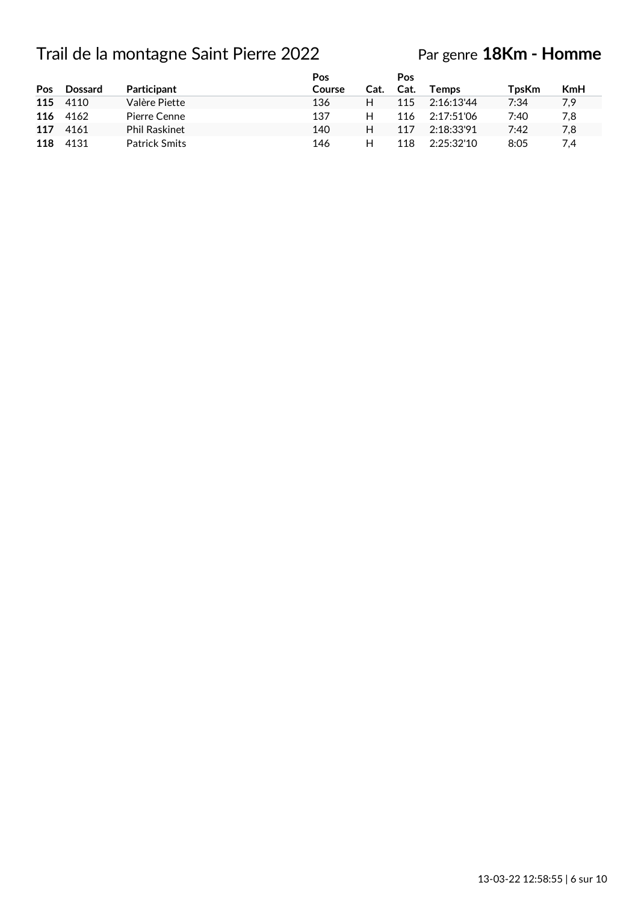# Trail de la montagne Saint Pierre 2022

# Par genre **18Km - Homme**

| Pos | <b>Dossard</b> | <b>Participant</b>   | Pos<br>Course | Cat. | Pos<br>Cat. | <b>Temps</b> | TpsKm | <b>KmH</b> |
|-----|----------------|----------------------|---------------|------|-------------|--------------|-------|------------|
|     | 115 4110       | Valère Piette        | 136           | н    | 115         | 2:16:13'44   | 7:34  | 7,9        |
| 116 | 4162           | Pierre Cenne         | 137           | н    | 116         | 2:17:51'06   | 7:40  | 7,8        |
| 117 | 4161           | <b>Phil Raskinet</b> | 140           | н    | 117         | 2:18:33'91   | 7:42  | 7,8        |
| 118 | 4131           | <b>Patrick Smits</b> | 146           | н    | 118         | 2:25:32'10   | 8:05  | 7.4        |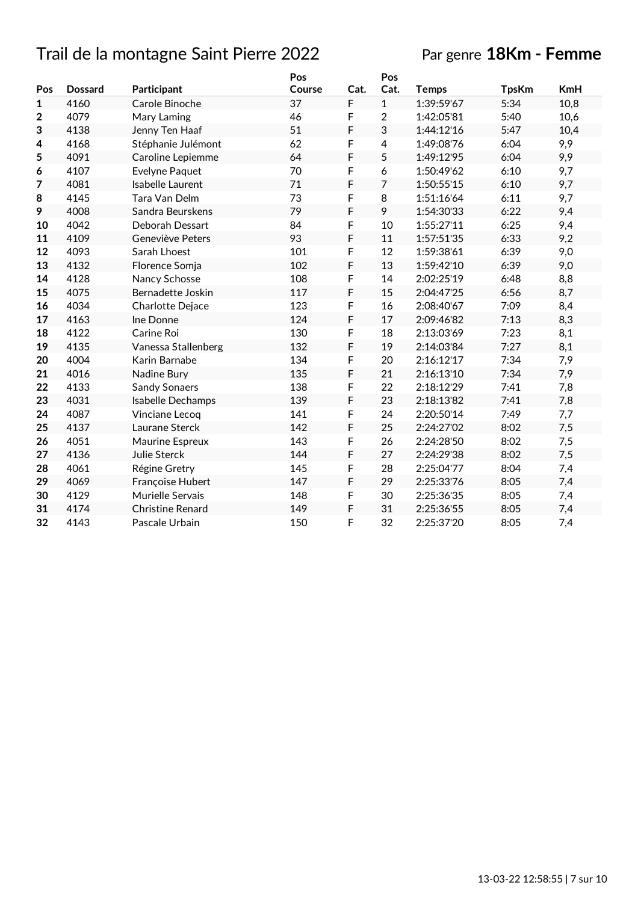# Trail de la montagne Saint Pierre 2022 Par genre **18Km - Femme**

|                |                |                         | Pos    |      | Pos            |              |              |            |
|----------------|----------------|-------------------------|--------|------|----------------|--------------|--------------|------------|
| Pos            | <b>Dossard</b> | Participant             | Course | Cat. | Cat.           | <b>Temps</b> | <b>TpsKm</b> | <b>KmH</b> |
| $\mathbf{1}$   | 4160           | Carole Binoche          | 37     | F    | $\mathbf{1}$   | 1:39:59'67   | 5:34         | 10,8       |
| $\overline{2}$ | 4079           | Mary Laming             | 46     | F    | $\overline{2}$ | 1:42:05'81   | 5:40         | 10,6       |
| 3              | 4138           | Jenny Ten Haaf          | 51     | F    | 3              | 1:44:12'16   | 5:47         | 10,4       |
| 4              | 4168           | Stéphanie Julémont      | 62     | F    | 4              | 1:49:08'76   | 6:04         | 9,9        |
| 5              | 4091           | Caroline Lepiemme       | 64     | F    | 5              | 1:49:12'95   | 6:04         | 9,9        |
| 6              | 4107           | Evelyne Paquet          | 70     | F    | 6              | 1:50:49'62   | 6:10         | 9,7        |
| 7              | 4081           | Isabelle Laurent        | 71     | F    | 7              | 1:50:55'15   | 6:10         | 9,7        |
| 8              | 4145           | Tara Van Delm           | 73     | F    | 8              | 1:51:16'64   | 6:11         | 9,7        |
| 9              | 4008           | Sandra Beurskens        | 79     | F    | 9              | 1:54:30'33   | 6:22         | 9,4        |
| 10             | 4042           | Deborah Dessart         | 84     | F    | 10             | 1:55:27'11   | 6:25         | 9,4        |
| 11             | 4109           | Geneviève Peters        | 93     | F    | 11             | 1:57:51'35   | 6:33         | 9,2        |
| 12             | 4093           | Sarah Lhoest            | 101    | F    | 12             | 1:59:38'61   | 6:39         | 9,0        |
| 13             | 4132           | Florence Somja          | 102    | F    | 13             | 1:59:42'10   | 6:39         | 9,0        |
| 14             | 4128           | Nancy Schosse           | 108    | F    | 14             | 2:02:25'19   | 6:48         | 8,8        |
| 15             | 4075           | Bernadette Joskin       | 117    | F    | 15             | 2:04:47'25   | 6:56         | 8,7        |
| 16             | 4034           | Charlotte Dejace        | 123    | F    | 16             | 2:08:40'67   | 7:09         | 8,4        |
| 17             | 4163           | Ine Donne               | 124    | F    | 17             | 2:09:46'82   | 7:13         | 8,3        |
| 18             | 4122           | Carine Roi              | 130    | F    | 18             | 2:13:03'69   | 7:23         | 8,1        |
| 19             | 4135           | Vanessa Stallenberg     | 132    | F    | 19             | 2:14:03'84   | 7:27         | 8,1        |
| 20             | 4004           | Karin Barnabe           | 134    | F    | 20             | 2:16:12'17   | 7:34         | 7,9        |
| 21             | 4016           | Nadine Bury             | 135    | F    | 21             | 2:16:13'10   | 7:34         | 7,9        |
| 22             | 4133           | <b>Sandy Sonaers</b>    | 138    | F    | 22             | 2:18:12'29   | 7:41         | 7,8        |
| 23             | 4031           | Isabelle Dechamps       | 139    | F    | 23             | 2:18:13'82   | 7:41         | 7,8        |
| 24             | 4087           | Vinciane Lecoq          | 141    | F    | 24             | 2:20:50'14   | 7:49         | 7,7        |
| 25             | 4137           | Laurane Sterck          | 142    | F    | 25             | 2:24:27'02   | 8:02         | 7,5        |
| 26             | 4051           | Maurine Espreux         | 143    | F    | 26             | 2:24:28'50   | 8:02         | 7,5        |
| 27             | 4136           | Julie Sterck            | 144    | F    | 27             | 2:24:29'38   | 8:02         | 7,5        |
| 28             | 4061           | Régine Gretry           | 145    | F    | 28             | 2:25:04'77   | 8:04         | 7,4        |
| 29             | 4069           | Françoise Hubert        | 147    | F    | 29             | 2:25:33'76   | 8:05         | 7,4        |
| 30             | 4129           | Murielle Servais        | 148    | F    | 30             | 2:25:36'35   | 8:05         | 7,4        |
| 31             | 4174           | <b>Christine Renard</b> | 149    | F    | 31             | 2:25:36'55   | 8:05         | 7,4        |
| 32             | 4143           | Pascale Urbain          | 150    | F    | 32             | 2:25:37'20   | 8:05         | 7,4        |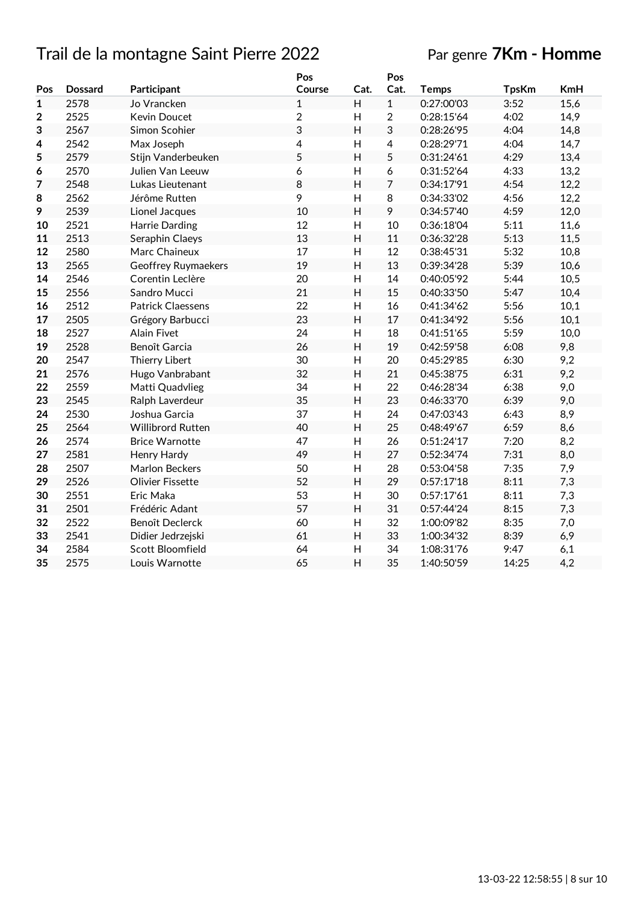# Trail de la montagne Saint Pierre 2022 Par genre **7Km - Homme**

|              |                |                          | Pos            |                | Pos            |              |              |            |
|--------------|----------------|--------------------------|----------------|----------------|----------------|--------------|--------------|------------|
| Pos          | <b>Dossard</b> | Participant              | Course         | Cat.           | Cat.           | <b>Temps</b> | <b>TpsKm</b> | <b>KmH</b> |
| $\mathbf{1}$ | 2578           | Jo Vrancken              | $\mathbf{1}$   | H              | $\mathbf{1}$   | 0:27:00'03   | 3:52         | 15,6       |
| $\mathbf 2$  | 2525           | <b>Kevin Doucet</b>      | $\overline{2}$ | H              | $\overline{2}$ | 0:28:15'64   | 4:02         | 14,9       |
| 3            | 2567           | Simon Scohier            | 3              | H              | 3              | 0:28:26'95   | 4:04         | 14,8       |
| 4            | 2542           | Max Joseph               | 4              | H              | $\overline{4}$ | 0:28:29'71   | 4:04         | 14,7       |
| 5            | 2579           | Stijn Vanderbeuken       | 5              | H              | 5              | 0:31:24'61   | 4:29         | 13,4       |
| 6            | 2570           | Julien Van Leeuw         | 6              | $\overline{H}$ | 6              | 0:31:52'64   | 4:33         | 13,2       |
| 7            | 2548           | Lukas Lieutenant         | 8              | $\overline{H}$ | $\overline{7}$ | 0:34:17'91   | 4:54         | 12,2       |
| 8            | 2562           | Jérôme Rutten            | 9              | $\overline{H}$ | 8              | 0:34:33'02   | 4:56         | 12,2       |
| 9            | 2539           | Lionel Jacques           | 10             | $\overline{H}$ | 9              | 0:34:57'40   | 4:59         | 12,0       |
| 10           | 2521           | Harrie Darding           | 12             | $\overline{H}$ | 10             | 0:36:18'04   | 5:11         | 11,6       |
| 11           | 2513           | Seraphin Claeys          | 13             | H              | 11             | 0:36:32'28   | 5:13         | 11,5       |
| 12           | 2580           | Marc Chaineux            | 17             | H              | 12             | 0:38:45'31   | 5:32         | 10,8       |
| 13           | 2565           | Geoffrey Ruymaekers      | 19             | H              | 13             | 0:39:34'28   | 5:39         | 10,6       |
| 14           | 2546           | Corentin Leclère         | 20             | H              | 14             | 0:40:05'92   | 5:44         | 10,5       |
| 15           | 2556           | Sandro Mucci             | 21             | H              | 15             | 0:40:33'50   | 5:47         | 10,4       |
| 16           | 2512           | <b>Patrick Claessens</b> | 22             | H              | 16             | 0:41:34'62   | 5:56         | 10,1       |
| 17           | 2505           | Grégory Barbucci         | 23             | H              | 17             | 0:41:34'92   | 5:56         | 10,1       |
| 18           | 2527           | <b>Alain Fivet</b>       | 24             | $\mathsf{H}%$  | 18             | 0:41:51'65   | 5:59         | 10,0       |
| 19           | 2528           | Benoît Garcia            | 26             | H              | 19             | 0:42:59'58   | 6:08         | 9,8        |
| 20           | 2547           | Thierry Libert           | 30             | H              | 20             | 0:45:29'85   | 6:30         | 9,2        |
| 21           | 2576           | Hugo Vanbrabant          | 32             | H              | 21             | 0:45:38'75   | 6:31         | 9,2        |
| 22           | 2559           | Matti Quadvlieg          | 34             | H              | 22             | 0:46:28'34   | 6:38         | 9,0        |
| 23           | 2545           | Ralph Laverdeur          | 35             | Η              | 23             | 0:46:33'70   | 6:39         | 9,0        |
| 24           | 2530           | Joshua Garcia            | 37             | H              | 24             | 0:47:03'43   | 6:43         | 8,9        |
| 25           | 2564           | Willibrord Rutten        | 40             | H              | 25             | 0:48:49'67   | 6:59         | 8,6        |
| 26           | 2574           | <b>Brice Warnotte</b>    | 47             | H              | 26             | 0:51:24'17   | 7:20         | 8,2        |
| 27           | 2581           | Henry Hardy              | 49             | H              | 27             | 0:52:34'74   | 7:31         | 8,0        |
| 28           | 2507           | <b>Marlon Beckers</b>    | 50             | $\mathsf{H}%$  | 28             | 0:53:04'58   | 7:35         | 7,9        |
| 29           | 2526           | <b>Olivier Fissette</b>  | 52             | H              | 29             | 0:57:17'18   | 8:11         | 7,3        |
| 30           | 2551           | Eric Maka                | 53             | H              | 30             | 0:57:17'61   | 8:11         | 7,3        |
| 31           | 2501           | Frédéric Adant           | 57             | H              | 31             | 0:57:44'24   | 8:15         | 7,3        |
| 32           | 2522           | Benoît Declerck          | 60             | Н              | 32             | 1:00:09'82   | 8:35         | 7,0        |
| 33           | 2541           | Didier Jedrzejski        | 61             | H              | 33             | 1:00:34'32   | 8:39         | 6,9        |
| 34           | 2584           | Scott Bloomfield         | 64             | H              | 34             | 1:08:31'76   | 9:47         | 6,1        |
| 35           | 2575           | Louis Warnotte           | 65             | H              | 35             | 1:40:50'59   | 14:25        | 4,2        |